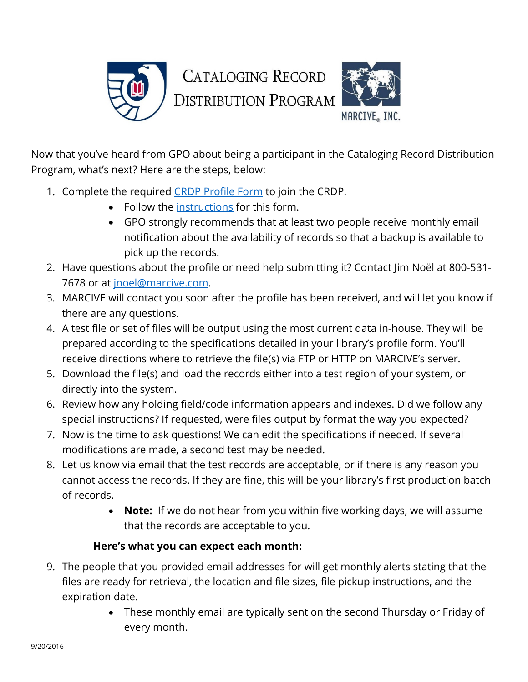

Now that you've heard from GPO about being a participant in the Cataloging Record Distribution Program, what's next? Here are the steps, below:

- 1. Complete the required [CRDP Profile Form](http://web.marcive.com/netprofile/default.aspx?KindOf=crdp&Category=0) to join the CRDP.
	- Follow the [instructions](https://www.fdlp.gov/file-repository/1664-cataloging-record-distribution-project-crdp-profile-guide) for this form.
	- GPO strongly recommends that at least two people receive monthly email notification about the availability of records so that a backup is available to pick up the records.
- 2. Have questions about the profile or need help submitting it? Contact Jim Noël at 800-531- 7678 or at [jnoel@marcive.com.](mailto:jnoel@marcive.com)
- 3. MARCIVE will contact you soon after the profile has been received, and will let you know if there are any questions.
- 4. A test file or set of files will be output using the most current data in-house. They will be prepared according to the specifications detailed in your library's profile form. You'll receive directions where to retrieve the file(s) via FTP or HTTP on MARCIVE's server.
- 5. Download the file(s) and load the records either into a test region of your system, or directly into the system.
- 6. Review how any holding field/code information appears and indexes. Did we follow any special instructions? If requested, were files output by format the way you expected?
- 7. Now is the time to ask questions! We can edit the specifications if needed. If several modifications are made, a second test may be needed.
- 8. Let us know via email that the test records are acceptable, or if there is any reason you cannot access the records. If they are fine, this will be your library's first production batch of records.
	- **Note:** If we do not hear from you within five working days, we will assume that the records are acceptable to you.

## **Here's what you can expect each month:**

- 9. The people that you provided email addresses for will get monthly alerts stating that the files are ready for retrieval, the location and file sizes, file pickup instructions, and the expiration date.
	- These monthly email are typically sent on the second Thursday or Friday of every month.